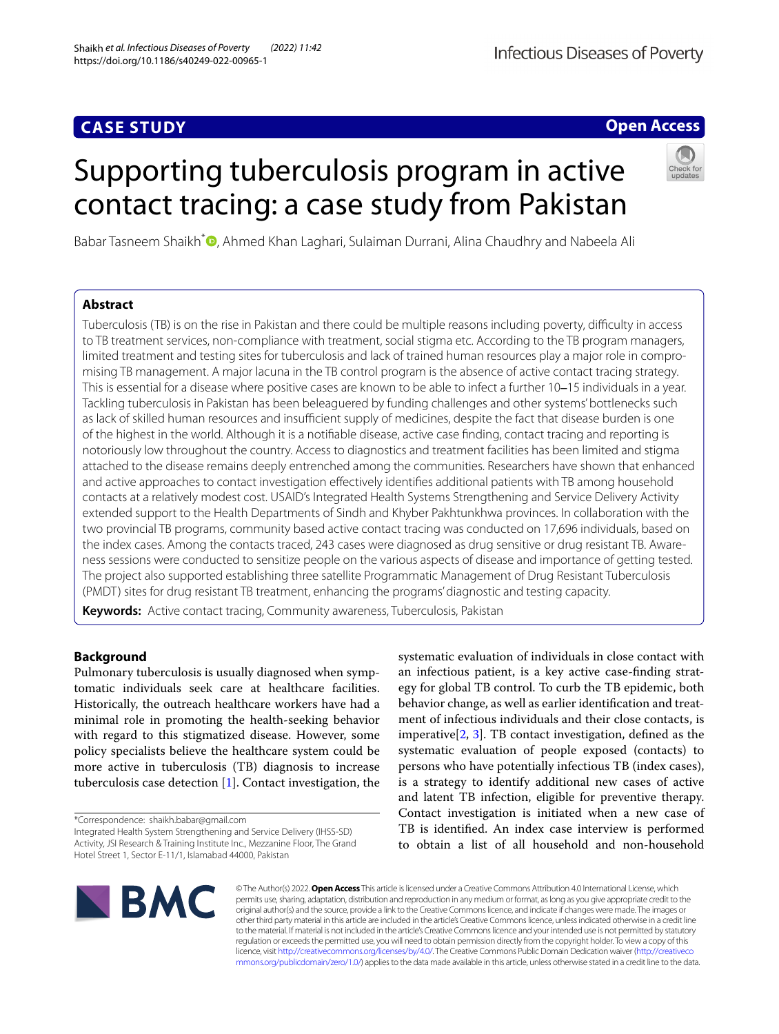# **CASE STUDY**

# **Open Access**

# Supporting tuberculosis program in active contact tracing: a case study from Pakistan



Babar Tasneem Shaikh[\\*](http://orcid.org/0000-0002-2056-4132)<sup>®</sup>, Ahmed Khan Laghari, Sulaiman Durrani, Alina Chaudhry and Nabeela Ali

# **Abstract**

Tuberculosis (TB) is on the rise in Pakistan and there could be multiple reasons including poverty, difficulty in access to TB treatment services, non-compliance with treatment, social stigma etc. According to the TB program managers, limited treatment and testing sites for tuberculosis and lack of trained human resources play a major role in compromising TB management. A major lacuna in the TB control program is the absence of active contact tracing strategy. This is essential for a disease where positive cases are known to be able to infect a further 10–15 individuals in a year. Tackling tuberculosis in Pakistan has been beleaguered by funding challenges and other systems' bottlenecks such as lack of skilled human resources and insufficient supply of medicines, despite the fact that disease burden is one of the highest in the world. Although it is a notifable disease, active case fnding, contact tracing and reporting is notoriously low throughout the country. Access to diagnostics and treatment facilities has been limited and stigma attached to the disease remains deeply entrenched among the communities. Researchers have shown that enhanced and active approaches to contact investigation efectively identifes additional patients with TB among household contacts at a relatively modest cost. USAID's Integrated Health Systems Strengthening and Service Delivery Activity extended support to the Health Departments of Sindh and Khyber Pakhtunkhwa provinces. In collaboration with the two provincial TB programs, community based active contact tracing was conducted on 17,696 individuals, based on the index cases. Among the contacts traced, 243 cases were diagnosed as drug sensitive or drug resistant TB. Awareness sessions were conducted to sensitize people on the various aspects of disease and importance of getting tested. The project also supported establishing three satellite Programmatic Management of Drug Resistant Tuberculosis (PMDT) sites for drug resistant TB treatment, enhancing the programs' diagnostic and testing capacity.

**Keywords:** Active contact tracing, Community awareness, Tuberculosis, Pakistan

# **Background**

Pulmonary tuberculosis is usually diagnosed when symptomatic individuals seek care at healthcare facilities. Historically, the outreach healthcare workers have had a minimal role in promoting the health-seeking behavior with regard to this stigmatized disease. However, some policy specialists believe the healthcare system could be more active in tuberculosis (TB) diagnosis to increase tuberculosis case detection [[1\]](#page-4-0). Contact investigation, the

\*Correspondence: shaikh.babar@gmail.com

Integrated Health System Strengthening and Service Delivery (IHSS-SD) Activity, JSI Research & Training Institute Inc., Mezzanine Floor, The Grand Hotel Street 1, Sector E-11/1, Islamabad 44000, Pakistan

systematic evaluation of individuals in close contact with an infectious patient, is a key active case-fnding strategy for global TB control. To curb the TB epidemic, both behavior change, as well as earlier identifcation and treatment of infectious individuals and their close contacts, is imperative[[2](#page-4-1), [3\]](#page-4-2). TB contact investigation, defned as the systematic evaluation of people exposed (contacts) to persons who have potentially infectious TB (index cases), is a strategy to identify additional new cases of active and latent TB infection, eligible for preventive therapy. Contact investigation is initiated when a new case of TB is identifed. An index case interview is performed to obtain a list of all household and non-household



© The Author(s) 2022. **Open Access** This article is licensed under a Creative Commons Attribution 4.0 International License, which permits use, sharing, adaptation, distribution and reproduction in any medium or format, as long as you give appropriate credit to the original author(s) and the source, provide a link to the Creative Commons licence, and indicate if changes were made. The images or other third party material in this article are included in the article's Creative Commons licence, unless indicated otherwise in a credit line to the material. If material is not included in the article's Creative Commons licence and your intended use is not permitted by statutory regulation or exceeds the permitted use, you will need to obtain permission directly from the copyright holder. To view a copy of this licence, visit [http://creativecommons.org/licenses/by/4.0/.](http://creativecommons.org/licenses/by/4.0/) The Creative Commons Public Domain Dedication waiver ([http://creativeco](http://creativecommons.org/publicdomain/zero/1.0/) [mmons.org/publicdomain/zero/1.0/](http://creativecommons.org/publicdomain/zero/1.0/)) applies to the data made available in this article, unless otherwise stated in a credit line to the data.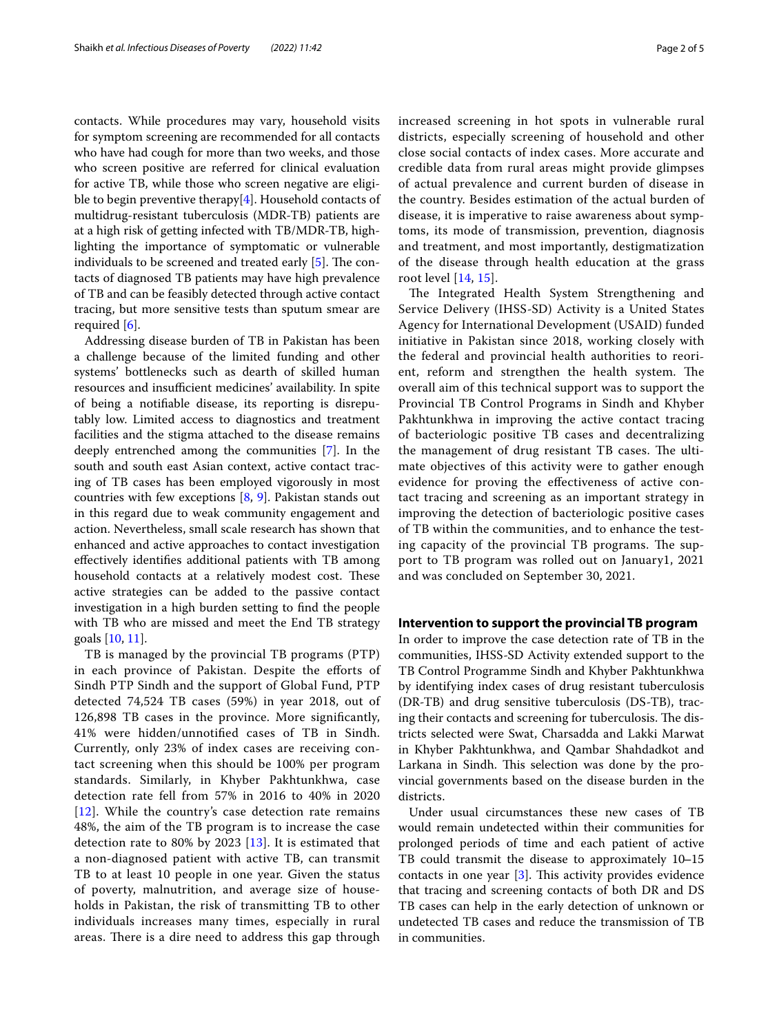contacts. While procedures may vary, household visits for symptom screening are recommended for all contacts who have had cough for more than two weeks, and those who screen positive are referred for clinical evaluation for active TB, while those who screen negative are eligible to begin preventive therapy[\[4](#page-4-3)]. Household contacts of multidrug-resistant tuberculosis (MDR-TB) patients are at a high risk of getting infected with TB/MDR-TB, highlighting the importance of symptomatic or vulnerable individuals to be screened and treated early  $[5]$ . The contacts of diagnosed TB patients may have high prevalence of TB and can be feasibly detected through active contact tracing, but more sensitive tests than sputum smear are required [\[6](#page-4-5)].

Addressing disease burden of TB in Pakistan has been a challenge because of the limited funding and other systems' bottlenecks such as dearth of skilled human resources and insufficient medicines' availability. In spite of being a notifable disease, its reporting is disreputably low. Limited access to diagnostics and treatment facilities and the stigma attached to the disease remains deeply entrenched among the communities [[7](#page-4-6)]. In the south and south east Asian context, active contact tracing of TB cases has been employed vigorously in most countries with few exceptions [\[8](#page-4-7), [9](#page-4-8)]. Pakistan stands out in this regard due to weak community engagement and action. Nevertheless, small scale research has shown that enhanced and active approaches to contact investigation efectively identifes additional patients with TB among household contacts at a relatively modest cost. These active strategies can be added to the passive contact investigation in a high burden setting to fnd the people with TB who are missed and meet the End TB strategy goals [[10,](#page-4-9) [11](#page-4-10)].

TB is managed by the provincial TB programs (PTP) in each province of Pakistan. Despite the efforts of Sindh PTP Sindh and the support of Global Fund, PTP detected 74,524 TB cases (59%) in year 2018, out of 126,898 TB cases in the province. More signifcantly, 41% were hidden/unnotifed cases of TB in Sindh. Currently, only 23% of index cases are receiving contact screening when this should be 100% per program standards. Similarly, in Khyber Pakhtunkhwa, case detection rate fell from 57% in 2016 to 40% in 2020 [[12](#page-4-11)]. While the country's case detection rate remains 48%, the aim of the TB program is to increase the case detection rate to 80% by 2023 [[13](#page-4-12)]. It is estimated that a non-diagnosed patient with active TB, can transmit TB to at least 10 people in one year. Given the status of poverty, malnutrition, and average size of households in Pakistan, the risk of transmitting TB to other individuals increases many times, especially in rural areas. There is a dire need to address this gap through increased screening in hot spots in vulnerable rural districts, especially screening of household and other close social contacts of index cases. More accurate and credible data from rural areas might provide glimpses of actual prevalence and current burden of disease in the country. Besides estimation of the actual burden of disease, it is imperative to raise awareness about symptoms, its mode of transmission, prevention, diagnosis and treatment, and most importantly, destigmatization of the disease through health education at the grass root level [\[14](#page-4-13), [15](#page-4-14)].

The Integrated Health System Strengthening and Service Delivery (IHSS-SD) Activity is a United States Agency for International Development (USAID) funded initiative in Pakistan since 2018, working closely with the federal and provincial health authorities to reorient, reform and strengthen the health system. The overall aim of this technical support was to support the Provincial TB Control Programs in Sindh and Khyber Pakhtunkhwa in improving the active contact tracing of bacteriologic positive TB cases and decentralizing the management of drug resistant TB cases. The ultimate objectives of this activity were to gather enough evidence for proving the efectiveness of active contact tracing and screening as an important strategy in improving the detection of bacteriologic positive cases of TB within the communities, and to enhance the testing capacity of the provincial TB programs. The support to TB program was rolled out on January1, 2021 and was concluded on September 30, 2021.

### **Intervention to support the provincial TB program**

In order to improve the case detection rate of TB in the communities, IHSS-SD Activity extended support to the TB Control Programme Sindh and Khyber Pakhtunkhwa by identifying index cases of drug resistant tuberculosis (DR-TB) and drug sensitive tuberculosis (DS-TB), tracing their contacts and screening for tuberculosis. The districts selected were Swat, Charsadda and Lakki Marwat in Khyber Pakhtunkhwa, and Qambar Shahdadkot and Larkana in Sindh. This selection was done by the provincial governments based on the disease burden in the districts.

Under usual circumstances these new cases of TB would remain undetected within their communities for prolonged periods of time and each patient of active TB could transmit the disease to approximately 10–15 contacts in one year  $[3]$  $[3]$ . This activity provides evidence that tracing and screening contacts of both DR and DS TB cases can help in the early detection of unknown or undetected TB cases and reduce the transmission of TB in communities.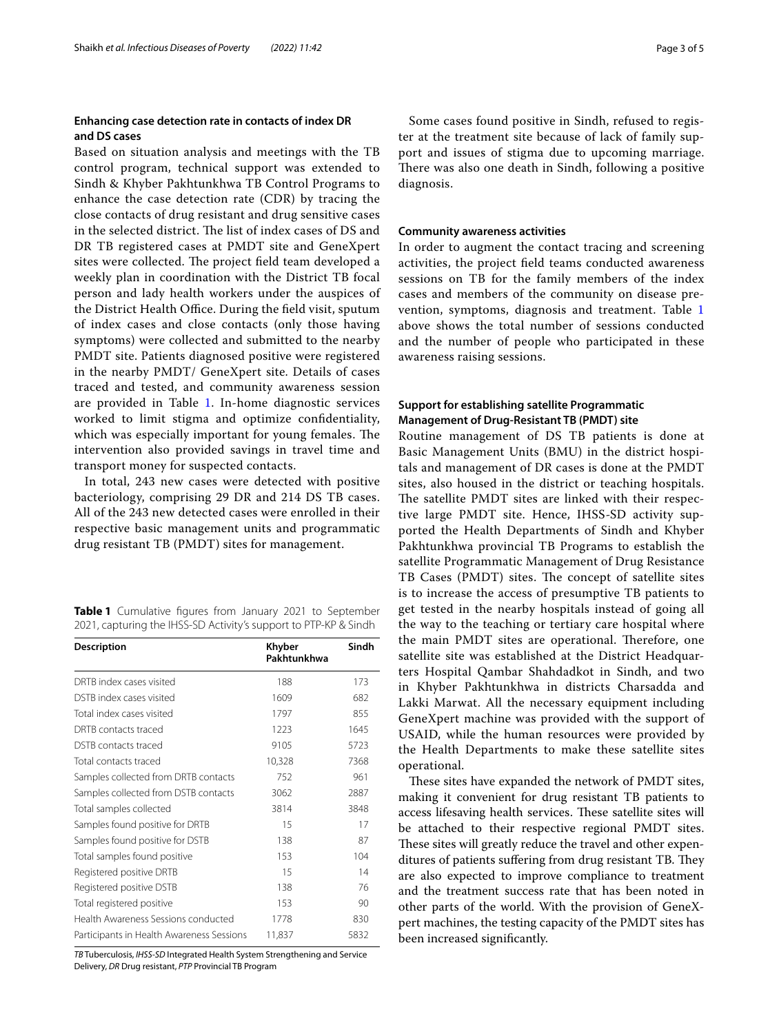# **Enhancing case detection rate in contacts of index DR and DS cases**

Based on situation analysis and meetings with the TB control program, technical support was extended to Sindh & Khyber Pakhtunkhwa TB Control Programs to enhance the case detection rate (CDR) by tracing the close contacts of drug resistant and drug sensitive cases in the selected district. The list of index cases of DS and DR TB registered cases at PMDT site and GeneXpert sites were collected. The project field team developed a weekly plan in coordination with the District TB focal person and lady health workers under the auspices of the District Health Office. During the field visit, sputum of index cases and close contacts (only those having symptoms) were collected and submitted to the nearby PMDT site. Patients diagnosed positive were registered in the nearby PMDT/ GeneXpert site. Details of cases traced and tested, and community awareness session are provided in Table [1.](#page-2-0) In-home diagnostic services worked to limit stigma and optimize confdentiality, which was especially important for young females. The intervention also provided savings in travel time and transport money for suspected contacts.

In total, 243 new cases were detected with positive bacteriology, comprising 29 DR and 214 DS TB cases. All of the 243 new detected cases were enrolled in their respective basic management units and programmatic drug resistant TB (PMDT) sites for management.

<span id="page-2-0"></span>**Table 1** Cumulative fgures from January 2021 to September 2021, capturing the IHSS-SD Activity's support to PTP-KP & Sindh

| <b>Description</b>                        | Khyber<br>Pakhtunkhwa | Sindh |
|-------------------------------------------|-----------------------|-------|
| DRTB index cases visited                  | 188                   | 173   |
| DSTB index cases visited                  | 1609                  | 682   |
| Total index cases visited                 | 1797                  | 855   |
| DRTB contacts traced                      | 1223                  | 1645  |
| DSTB contacts traced                      | 9105                  | 5723  |
| Total contacts traced                     | 10,328                | 7368  |
| Samples collected from DRTB contacts      | 752                   | 961   |
| Samples collected from DSTB contacts      | 3062                  | 2887  |
| Total samples collected                   | 3814                  | 3848  |
| Samples found positive for DRTB           | 15                    | 17    |
| Samples found positive for DSTB           | 138                   | 87    |
| Total samples found positive              | 153                   | 104   |
| Registered positive DRTB                  | 15                    | 14    |
| Registered positive DSTB                  | 138                   | 76    |
| Total registered positive                 | 153                   | 90    |
| Health Awareness Sessions conducted       | 1778                  | 830   |
| Participants in Health Awareness Sessions | 11,837                | 5832  |

*TB* Tuberculosis, *IHSS-SD* Integrated Health System Strengthening and Service Delivery, *DR* Drug resistant, *PTP* Provincial TB Program

Some cases found positive in Sindh, refused to register at the treatment site because of lack of family support and issues of stigma due to upcoming marriage. There was also one death in Sindh, following a positive diagnosis.

## **Community awareness activities**

In order to augment the contact tracing and screening activities, the project feld teams conducted awareness sessions on TB for the family members of the index cases and members of the community on disease prevention, symptoms, diagnosis and treatment. Table [1](#page-2-0) above shows the total number of sessions conducted and the number of people who participated in these awareness raising sessions.

# **Support for establishing satellite Programmatic Management of Drug‑Resistant TB (PMDT) site**

Routine management of DS TB patients is done at Basic Management Units (BMU) in the district hospitals and management of DR cases is done at the PMDT sites, also housed in the district or teaching hospitals. The satellite PMDT sites are linked with their respective large PMDT site. Hence, IHSS-SD activity supported the Health Departments of Sindh and Khyber Pakhtunkhwa provincial TB Programs to establish the satellite Programmatic Management of Drug Resistance TB Cases (PMDT) sites. The concept of satellite sites is to increase the access of presumptive TB patients to get tested in the nearby hospitals instead of going all the way to the teaching or tertiary care hospital where the main PMDT sites are operational. Therefore, one satellite site was established at the District Headquarters Hospital Qambar Shahdadkot in Sindh, and two in Khyber Pakhtunkhwa in districts Charsadda and Lakki Marwat. All the necessary equipment including GeneXpert machine was provided with the support of USAID, while the human resources were provided by the Health Departments to make these satellite sites operational.

These sites have expanded the network of PMDT sites, making it convenient for drug resistant TB patients to access lifesaving health services. These satellite sites will be attached to their respective regional PMDT sites. These sites will greatly reduce the travel and other expenditures of patients suffering from drug resistant TB. They are also expected to improve compliance to treatment and the treatment success rate that has been noted in other parts of the world. With the provision of GeneXpert machines, the testing capacity of the PMDT sites has been increased signifcantly.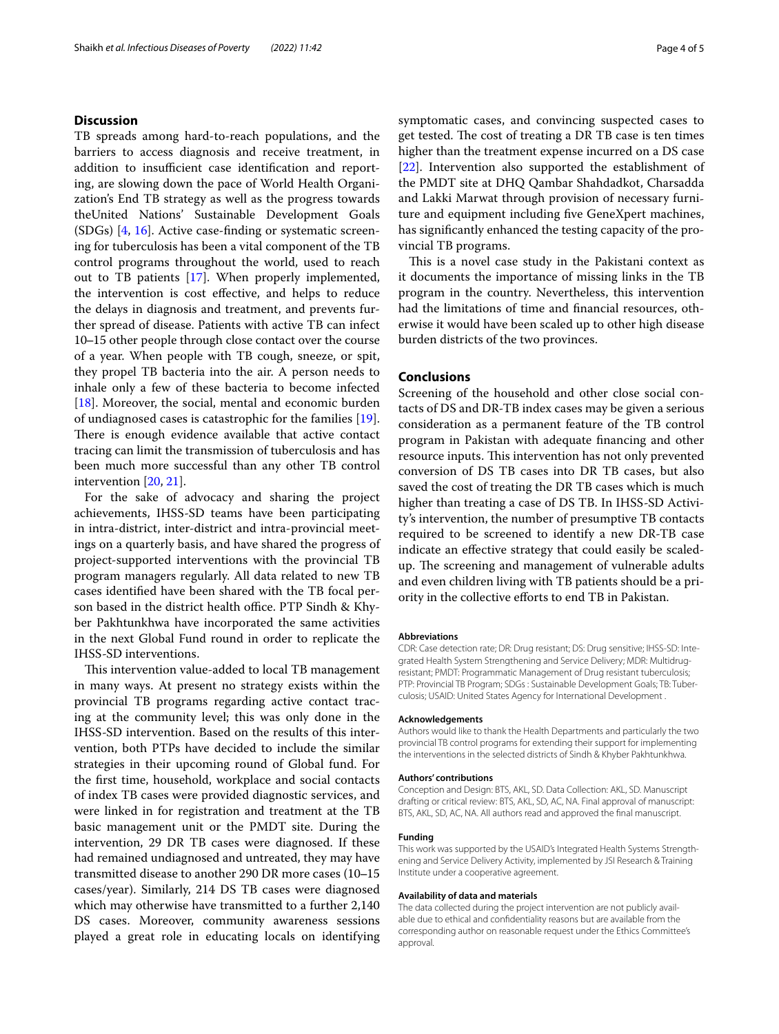# **Discussion**

TB spreads among hard-to-reach populations, and the barriers to access diagnosis and receive treatment, in addition to insufficient case identification and reporting, are slowing down the pace of World Health Organization's End TB strategy as well as the progress towards theUnited Nations' Sustainable Development Goals (SDGs) [[4,](#page-4-3) [16\]](#page-4-15). Active case-fnding or systematic screening for tuberculosis has been a vital component of the TB control programs throughout the world, used to reach out to TB patients [\[17](#page-4-16)]. When properly implemented, the intervention is cost efective, and helps to reduce the delays in diagnosis and treatment, and prevents further spread of disease. Patients with active TB can infect 10–15 other people through close contact over the course of a year. When people with TB cough, sneeze, or spit, they propel TB bacteria into the air. A person needs to inhale only a few of these bacteria to become infected [[18\]](#page-4-17). Moreover, the social, mental and economic burden of undiagnosed cases is catastrophic for the families [\[19](#page-4-18)]. There is enough evidence available that active contact tracing can limit the transmission of tuberculosis and has been much more successful than any other TB control intervention [[20,](#page-4-19) [21\]](#page-4-20).

For the sake of advocacy and sharing the project achievements, IHSS-SD teams have been participating in intra-district, inter-district and intra-provincial meetings on a quarterly basis, and have shared the progress of project-supported interventions with the provincial TB program managers regularly. All data related to new TB cases identifed have been shared with the TB focal person based in the district health office. PTP Sindh & Khyber Pakhtunkhwa have incorporated the same activities in the next Global Fund round in order to replicate the IHSS-SD interventions.

This intervention value-added to local TB management in many ways. At present no strategy exists within the provincial TB programs regarding active contact tracing at the community level; this was only done in the IHSS-SD intervention. Based on the results of this intervention, both PTPs have decided to include the similar strategies in their upcoming round of Global fund. For the frst time, household, workplace and social contacts of index TB cases were provided diagnostic services, and were linked in for registration and treatment at the TB basic management unit or the PMDT site. During the intervention, 29 DR TB cases were diagnosed. If these had remained undiagnosed and untreated, they may have transmitted disease to another 290 DR more cases (10-15 cases/year). Similarly, 214 DS TB cases were diagnosed which may otherwise have transmitted to a further 2,140 DS cases. Moreover, community awareness sessions played a great role in educating locals on identifying symptomatic cases, and convincing suspected cases to get tested. The cost of treating a DR TB case is ten times higher than the treatment expense incurred on a DS case [[22\]](#page-4-21). Intervention also supported the establishment of the PMDT site at DHQ Qambar Shahdadkot, Charsadda and Lakki Marwat through provision of necessary furniture and equipment including fve GeneXpert machines, has signifcantly enhanced the testing capacity of the provincial TB programs.

This is a novel case study in the Pakistani context as it documents the importance of missing links in the TB program in the country. Nevertheless, this intervention had the limitations of time and fnancial resources, otherwise it would have been scaled up to other high disease burden districts of the two provinces.

# **Conclusions**

Screening of the household and other close social contacts of DS and DR-TB index cases may be given a serious consideration as a permanent feature of the TB control program in Pakistan with adequate fnancing and other resource inputs. This intervention has not only prevented conversion of DS TB cases into DR TB cases, but also saved the cost of treating the DR TB cases which is much higher than treating a case of DS TB. In IHSS-SD Activity's intervention, the number of presumptive TB contacts required to be screened to identify a new DR-TB case indicate an efective strategy that could easily be scaledup. The screening and management of vulnerable adults and even children living with TB patients should be a priority in the collective eforts to end TB in Pakistan.

#### **Abbreviations**

CDR: Case detection rate; DR: Drug resistant; DS: Drug sensitive; IHSS-SD: Integrated Health System Strengthening and Service Delivery; MDR: Multidrugresistant; PMDT: Programmatic Management of Drug resistant tuberculosis; PTP: Provincial TB Program; SDGs : Sustainable Development Goals; TB: Tuberculosis; USAID: United States Agency for International Development .

#### **Acknowledgements**

Authors would like to thank the Health Departments and particularly the two provincial TB control programs for extending their support for implementing the interventions in the selected districts of Sindh & Khyber Pakhtunkhwa.

#### **Authors' contributions**

Conception and Design: BTS, AKL, SD. Data Collection: AKL, SD. Manuscript drafting or critical review: BTS, AKL, SD, AC, NA. Final approval of manuscript: BTS, AKL, SD, AC, NA. All authors read and approved the fnal manuscript.

#### **Funding**

This work was supported by the USAID's Integrated Health Systems Strengthening and Service Delivery Activity, implemented by JSI Research & Training Institute under a cooperative agreement.

#### **Availability of data and materials**

The data collected during the project intervention are not publicly available due to ethical and confdentiality reasons but are available from the corresponding author on reasonable request under the Ethics Committee's approval.